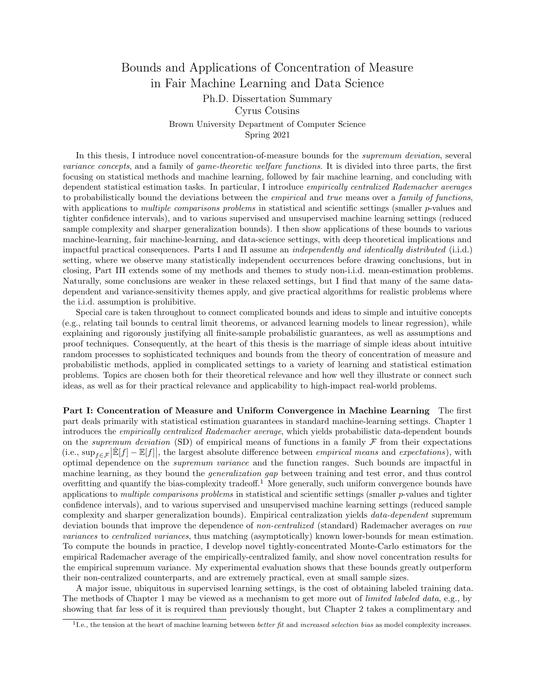## Bounds and Applications of Concentration of Measure in Fair Machine Learning and Data Science

## Ph.D. Dissertation Summary Cyrus Cousins Brown University Department of Computer Science Spring 2021

In this thesis, I introduce novel concentration-of-measure bounds for the *supremum deviation*, several variance concepts, and a family of game-theoretic welfare functions. It is divided into three parts, the first focusing on statistical methods and machine learning, followed by fair machine learning, and concluding with dependent statistical estimation tasks. In particular, I introduce empirically centralized Rademacher averages to probabilistically bound the deviations between the empirical and true means over a family of functions, with applications to *multiple comparisons problems* in statistical and scientific settings (smaller p-values and tighter confidence intervals), and to various supervised and unsupervised machine learning settings (reduced sample complexity and sharper generalization bounds). I then show applications of these bounds to various machine-learning, fair machine-learning, and data-science settings, with deep theoretical implications and impactful practical consequences. Parts I and II assume an independently and identically distributed (i.i.d.) setting, where we observe many statistically independent occurrences before drawing conclusions, but in closing, Part III extends some of my methods and themes to study non-i.i.d. mean-estimation problems. Naturally, some conclusions are weaker in these relaxed settings, but I find that many of the same datadependent and variance-sensitivity themes apply, and give practical algorithms for realistic problems where the i.i.d. assumption is prohibitive.

Special care is taken throughout to connect complicated bounds and ideas to simple and intuitive concepts (e.g., relating tail bounds to central limit theorems, or advanced learning models to linear regression), while explaining and rigorously justifying all finite-sample probabilistic guarantees, as well as assumptions and proof techniques. Consequently, at the heart of this thesis is the marriage of simple ideas about intuitive random processes to sophisticated techniques and bounds from the theory of concentration of measure and probabilistic methods, applied in complicated settings to a variety of learning and statistical estimation problems. Topics are chosen both for their theoretical relevance and how well they illustrate or connect such ideas, as well as for their practical relevance and applicability to high-impact real-world problems.

Part I: Concentration of Measure and Uniform Convergence in Machine Learning The first part deals primarily with statistical estimation guarantees in standard machine-learning settings. Chapter 1 introduces the empirically centralized Rademacher average, which yields probabilistic data-dependent bounds on the supremum deviation (SD) of empirical means of functions in a family  $\mathcal F$  from their expectations (i.e.,  $\sup_{f \in \mathcal{F}} |\mathbb{E}[f] - \mathbb{E}[f]|$ , the largest absolute difference between *empirical means* and *expectations*), with optimal dependence on the supremum variance and the function ranges. Such bounds are impactful in machine learning, as they bound the generalization gap between training and test error, and thus control overfitting and quantify the bias-complexity tradeoff.<sup>1</sup> More generally, such uniform convergence bounds have applications to multiple comparisons problems in statistical and scientific settings (smaller  $p$ -values and tighter confidence intervals), and to various supervised and unsupervised machine learning settings (reduced sample complexity and sharper generalization bounds). Empirical centralization yields data-dependent supremum deviation bounds that improve the dependence of non-centralized (standard) Rademacher averages on raw variances to centralized variances, thus matching (asymptotically) known lower-bounds for mean estimation. To compute the bounds in practice, I develop novel tightly-concentrated Monte-Carlo estimators for the empirical Rademacher average of the empirically-centralized family, and show novel concentration results for the empirical supremum variance. My experimental evaluation shows that these bounds greatly outperform their non-centralized counterparts, and are extremely practical, even at small sample sizes.

A major issue, ubiquitous in supervised learning settings, is the cost of obtaining labeled training data. The methods of Chapter 1 may be viewed as a mechanism to get more out of *limited labeled data*, e.g., by showing that far less of it is required than previously thought, but Chapter 2 takes a complimentary and

<sup>&</sup>lt;sup>1</sup>I.e., the tension at the heart of machine learning between *better fit* and *increased selection bias* as model complexity increases.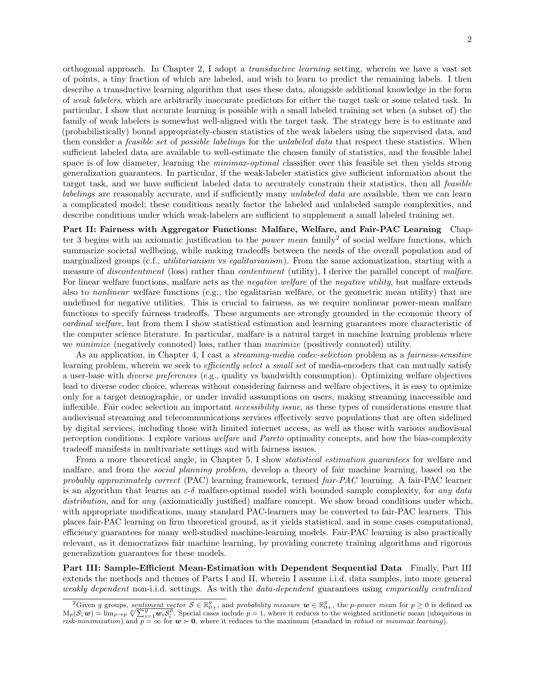orthogonal approach. In Chapter 2, I adopt a transductive learning setting, wherein we have a vast set of points, a tiny fraction of which are labeled, and wish to learn to predict the remaining labels. I then describe a transductive learning algorithm that uses these data, alongside additional knowledge in the form of weak labelers, which are arbitrarily inaccurate predictors for either the target task or some related task. In particular, I show that accurate learning is possible with a small labeled training set when (a subset of) the family of weak labelers is somewhat well-aligned with the target task. The strategy here is to estimate and (probabilistically) bound appropriately-chosen statistics of the weak labelers using the supervised data, and then consider a feasible set of possible labelings for the unlabeled data that respect these statistics. When sufficient labeled data are available to well-estimate the chosen family of statistics, and the feasible label space is of low diameter, learning the *minimax-optimal* classifier over this feasible set then yields strong generalization guarantees. In particular, if the weak-labeler statistics give sufficient information about the target task, and we have sufficient labeled data to accurately constrain their statistics, then all feasible labelings are reasonably accurate, and if sufficiently many *unlabeled data* are available, then we can learn a complicated model; these conditions neatly factor the labeled and unlabeled sample complexities, and describe conditions under which weak-labelers are sufficient to supplement a small labeled training set.

Part II: Fairness with Aggregator Functions: Malfare, Welfare, and Fair-PAC Learning Chapter 3 begins with an axiomatic justification to the *power mean* family<sup>2</sup> of social welfare functions, which summarize societal wellbeing, while making tradeoffs between the needs of the overall population and of marginalized groups (c.f., *utilitarianism* vs *egalitarianism*). From the same axiomatization, starting with a measure of *discontentment* (loss) rather than *contentment* (utility), I derive the parallel concept of malfare. For linear welfare functions, malfare acts as the *negative welfare* of the *negative utility*, but malfare extends also to nonlinear welfare functions (e.g., the egalitarian welfare, or the geometric mean utility) that are undefined for negative utilities. This is crucial to fairness, as we require nonlinear power-mean malfare functions to specify fairness tradeoffs. These arguments are strongly grounded in the economic theory of cardinal welfare, but from them I show statistical estimation and learning guarantees more characteristic of the computer science literature. In particular, malfare is a natural target in machine learning problems where we *minimize* (negatively connoted) loss, rather than *maximize* (positively connoted) utility.

As an application, in Chapter 4, I cast a *streaming-media codec-selection* problem as a *fairness-sensitive* learning problem, wherein we seek to *efficiently select* a *small set* of media-encoders that can mutually satisfy a user-base with diverse preferences (e.g., quality vs bandwidth consumption). Optimizing welfare objectives lead to diverse codec choice, whereas without considering fairness and welfare objectives, it is easy to optimize only for a target demographic, or under invalid assumptions on users, making streaming inaccessible and inflexible. Fair codec selection an important accessibility issue, as these types of considerations ensure that audiovisual streaming and telecommunications services effectively serve populations that are often sidelined by digital services, including those with limited internet access, as well as those with various audiovisual perception conditions. I explore various welfare and Pareto optimality concepts, and how the bias-complexity tradeoff manifests in multivariate settings and with fairness issues.

From a more theoretical angle, in Chapter 5, I show *statistical estimation guarantees* for welfare and malfare, and from the social planning problem, develop a theory of fair machine learning, based on the probably approximately correct (PAC) learning framework, termed fair-PAC learning. A fair-PAC learner is an algorithm that learns an  $\varepsilon-\delta$  malfare-optimal model with bounded sample complexity, for any data distribution, and for any (axiomatically justified) malfare concept. We show broad conditions under which, with appropriate modifications, many standard PAC-learners may be converted to fair-PAC learners. This places fair-PAC learning on firm theoretical ground, as it yields statistical, and in some cases computational, efficiency guarantees for many well-studied machine-learning models. Fair-PAC learning is also practically relevant, as it democratizes fair machine learning, by providing concrete training algorithms and rigorous generalization guarantees for these models.

Part III: Sample-Efficient Mean-Estimation with Dependent Sequential Data Finally, Part III extends the methods and themes of Parts I and II, wherein I assume i.i.d. data samples, into more general weakly dependent non-i.i.d. settings. As with the data-dependent guarantees using empirically centralized

<sup>&</sup>lt;sup>2</sup>Given g groups, sentiment vector  $S \in \mathbb{R}_{0+}^g$ , and probability measure  $\mathbf{w} \in \mathbb{R}_{0+}^g$ , the p-power mean for  $p \ge 0$  is defined as  $M_p(S; \mathbf{w}) = \lim_{\rho \to p} \sqrt[p]{\sum_{i=1}^g \mathbf{w}_i S_i^{\rho}}$ . Special cases include  $p = 1$ risk-minimization) and  $p = \infty$  for  $w > 0$ , where it reduces to the maximum (standard in robust or minimax learning).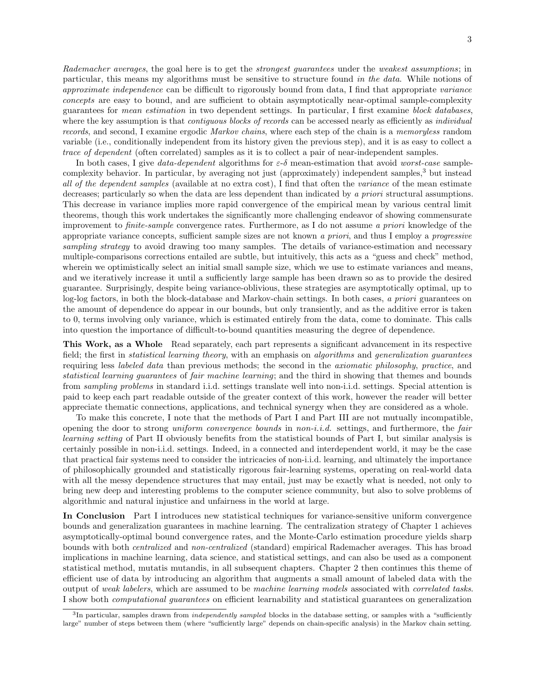Rademacher averages, the goal here is to get the *strongest quarantees* under the *weakest assumptions*; in particular, this means my algorithms must be sensitive to structure found in the data. While notions of approximate independence can be difficult to rigorously bound from data, I find that appropriate variance concepts are easy to bound, and are sufficient to obtain asymptotically near-optimal sample-complexity guarantees for mean estimation in two dependent settings. In particular, I first examine block databases, where the key assumption is that *contiguous blocks of records* can be accessed nearly as efficiently as *individual* records, and second, I examine ergodic Markov chains, where each step of the chain is a memoryless random variable (i.e., conditionally independent from its history given the previous step), and it is as easy to collect a trace of dependent (often correlated) samples as it is to collect a pair of near-independent samples.

In both cases, I give data-dependent algorithms for  $\varepsilon$ -δ mean-estimation that avoid worst-case samplecomplexity behavior. In particular, by averaging not just (approximately) independent samples,<sup>3</sup> but instead all of the dependent samples (available at no extra cost), I find that often the variance of the mean estimate decreases; particularly so when the data are less dependent than indicated by a priori structural assumptions. This decrease in variance implies more rapid convergence of the empirical mean by various central limit theorems, though this work undertakes the significantly more challenging endeavor of showing commensurate improvement to finite-sample convergence rates. Furthermore, as I do not assume a priori knowledge of the appropriate variance concepts, sufficient sample sizes are not known a priori, and thus I employ a progressive sampling strategy to avoid drawing too many samples. The details of variance-estimation and necessary multiple-comparisons corrections entailed are subtle, but intuitively, this acts as a "guess and check" method, wherein we optimistically select an initial small sample size, which we use to estimate variances and means, and we iteratively increase it until a sufficiently large sample has been drawn so as to provide the desired guarantee. Surprisingly, despite being variance-oblivious, these strategies are asymptotically optimal, up to log-log factors, in both the block-database and Markov-chain settings. In both cases, a priori guarantees on the amount of dependence do appear in our bounds, but only transiently, and as the additive error is taken to 0, terms involving only variance, which is estimated entirely from the data, come to dominate. This calls into question the importance of difficult-to-bound quantities measuring the degree of dependence.

This Work, as a Whole Read separately, each part represents a significant advancement in its respective field; the first in *statistical learning theory*, with an emphasis on *algorithms* and *generalization guarantees* requiring less labeled data than previous methods; the second in the axiomatic philosophy, practice, and statistical learning guarantees of fair machine learning; and the third in showing that themes and bounds from sampling problems in standard i.i.d. settings translate well into non-i.i.d. settings. Special attention is paid to keep each part readable outside of the greater context of this work, however the reader will better appreciate thematic connections, applications, and technical synergy when they are considered as a whole.

To make this concrete, I note that the methods of Part I and Part III are not mutually incompatible, opening the door to strong uniform convergence bounds in non-i.i.d. settings, and furthermore, the fair learning setting of Part II obviously benefits from the statistical bounds of Part I, but similar analysis is certainly possible in non-i.i.d. settings. Indeed, in a connected and interdependent world, it may be the case that practical fair systems need to consider the intricacies of non-i.i.d. learning, and ultimately the importance of philosophically grounded and statistically rigorous fair-learning systems, operating on real-world data with all the messy dependence structures that may entail, just may be exactly what is needed, not only to bring new deep and interesting problems to the computer science community, but also to solve problems of algorithmic and natural injustice and unfairness in the world at large.

In Conclusion Part I introduces new statistical techniques for variance-sensitive uniform convergence bounds and generalization guarantees in machine learning. The centralization strategy of Chapter 1 achieves asymptotically-optimal bound convergence rates, and the Monte-Carlo estimation procedure yields sharp bounds with both centralized and non-centralized (standard) empirical Rademacher averages. This has broad implications in machine learning, data science, and statistical settings, and can also be used as a component statistical method, mutatis mutandis, in all subsequent chapters. Chapter 2 then continues this theme of efficient use of data by introducing an algorithm that augments a small amount of labeled data with the output of weak labelers, which are assumed to be machine learning models associated with correlated tasks. I show both computational guarantees on efficient learnability and statistical guarantees on generalization

 ${}^{3}$ In particular, samples drawn from *independently sampled* blocks in the database setting, or samples with a "sufficiently large" number of steps between them (where "sufficiently large" depends on chain-specific analysis) in the Markov chain setting.